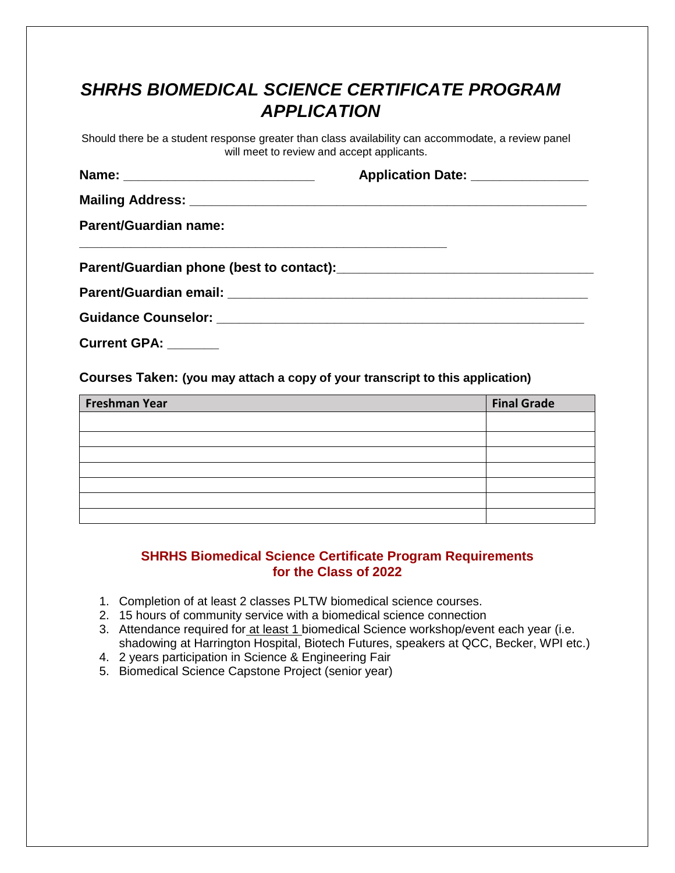## *SHRHS BIOMEDICAL SCIENCE CERTIFICATE PROGRAM APPLICATION*

Should there be a student response greater than class availability can accommodate, a review panel will meet to review and accept applicants.

|                              | Application Date: ________________ |
|------------------------------|------------------------------------|
|                              |                                    |
| <b>Parent/Guardian name:</b> |                                    |
|                              |                                    |
|                              |                                    |
|                              |                                    |

**Current GPA: \_\_\_\_\_\_\_** 

**Courses Taken: (you may attach a copy of your transcript to this application)**

| Freshman Year | <b>Final Grade</b> |
|---------------|--------------------|
|               |                    |
|               |                    |
|               |                    |
|               |                    |
|               |                    |
|               |                    |
|               |                    |

## **SHRHS Biomedical Science Certificate Program Requirements for the Class of 2022**

- 1. Completion of at least 2 classes PLTW biomedical science courses.
- 2. 15 hours of community service with a biomedical science connection
- 3. Attendance required for at least 1 biomedical Science workshop/event each year (i.e. shadowing at Harrington Hospital, Biotech Futures, speakers at QCC, Becker, WPI etc.)
- 4. 2 years participation in Science & Engineering Fair
- 5. Biomedical Science Capstone Project (senior year)